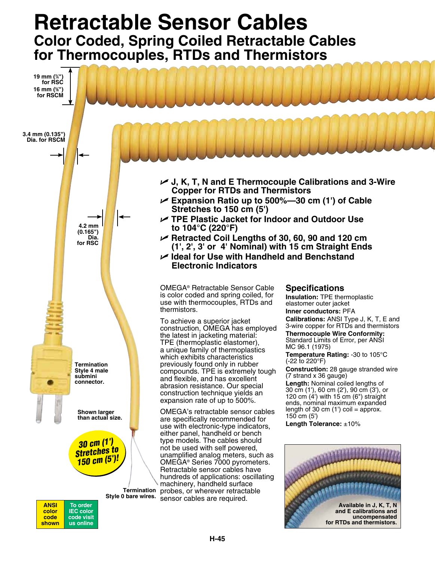## **Retractable Sensor Cables Color Coded, Spring Coiled Retractable Cables for Thermocouples, RTDs and Thermistors**



**code shown**  **code visit us online**

**uncompensated**

**for RTDs and thermistors.**